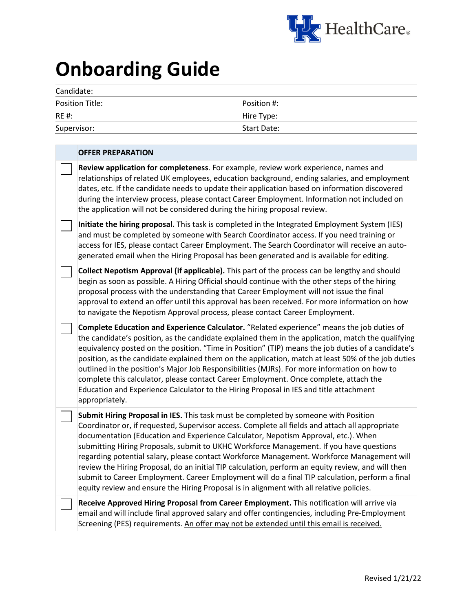

## **Onboarding Guide**

| Candidate:      |             |  |  |  |
|-----------------|-------------|--|--|--|
| Position Title: | Position #: |  |  |  |
| <b>RE#:</b>     | Hire Type:  |  |  |  |
| Supervisor:     | Start Date: |  |  |  |
|                 |             |  |  |  |

| <b>OFFER PREPARATION</b>                                                                                                                                                                                                                                                                                                                                                                                                                                                                                                                                                                                                                                                                                                                                                   |
|----------------------------------------------------------------------------------------------------------------------------------------------------------------------------------------------------------------------------------------------------------------------------------------------------------------------------------------------------------------------------------------------------------------------------------------------------------------------------------------------------------------------------------------------------------------------------------------------------------------------------------------------------------------------------------------------------------------------------------------------------------------------------|
| Review application for completeness. For example, review work experience, names and<br>relationships of related UK employees, education background, ending salaries, and employment<br>dates, etc. If the candidate needs to update their application based on information discovered<br>during the interview process, please contact Career Employment. Information not included on<br>the application will not be considered during the hiring proposal review.                                                                                                                                                                                                                                                                                                          |
| Initiate the hiring proposal. This task is completed in the Integrated Employment System (IES)<br>and must be completed by someone with Search Coordinator access. If you need training or<br>access for IES, please contact Career Employment. The Search Coordinator will receive an auto-<br>generated email when the Hiring Proposal has been generated and is available for editing.                                                                                                                                                                                                                                                                                                                                                                                  |
| Collect Nepotism Approval (if applicable). This part of the process can be lengthy and should<br>begin as soon as possible. A Hiring Official should continue with the other steps of the hiring<br>proposal process with the understanding that Career Employment will not issue the final<br>approval to extend an offer until this approval has been received. For more information on how<br>to navigate the Nepotism Approval process, please contact Career Employment.                                                                                                                                                                                                                                                                                              |
| Complete Education and Experience Calculator. "Related experience" means the job duties of<br>the candidate's position, as the candidate explained them in the application, match the qualifying<br>equivalency posted on the position. "Time in Position" (TIP) means the job duties of a candidate's<br>position, as the candidate explained them on the application, match at least 50% of the job duties<br>outlined in the position's Major Job Responsibilities (MJRs). For more information on how to<br>complete this calculator, please contact Career Employment. Once complete, attach the<br>Education and Experience Calculator to the Hiring Proposal in IES and title attachment<br>appropriately.                                                          |
| Submit Hiring Proposal in IES. This task must be completed by someone with Position<br>Coordinator or, if requested, Supervisor access. Complete all fields and attach all appropriate<br>documentation (Education and Experience Calculator, Nepotism Approval, etc.). When<br>submitting Hiring Proposals, submit to UKHC Workforce Management. If you have questions<br>regarding potential salary, please contact Workforce Management. Workforce Management will<br>review the Hiring Proposal, do an initial TIP calculation, perform an equity review, and will then<br>submit to Career Employment. Career Employment will do a final TIP calculation, perform a final<br>equity review and ensure the Hiring Proposal is in alignment with all relative policies. |
| Receive Approved Hiring Proposal from Career Employment. This notification will arrive via<br>email and will include final approved salary and offer contingencies, including Pre-Employment<br>Screening (PES) requirements. An offer may not be extended until this email is received.                                                                                                                                                                                                                                                                                                                                                                                                                                                                                   |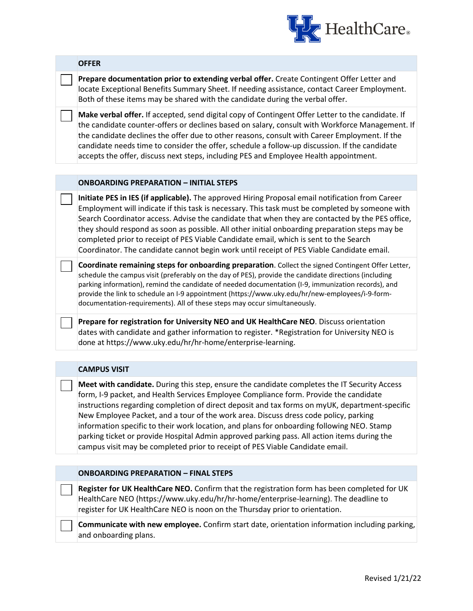

**Prepare documentation prior to extending verbal offer.** Create Contingent Offer Letter and locate Exceptional Benefits Summary Sheet. If needing assistance, contact Career Employment. Both of these items may be shared with the candidate during the verbal offer.

**Make verbal offer.** If accepted, send digital copy of Contingent Offer Letter to the candidate. If the candidate counter-offers or declines based on salary, consult with Workforce Management. If the candidate declines the offer due to other reasons, consult with Career Employment. If the candidate needs time to consider the offer, schedule a follow-up discussion. If the candidate accepts the offer, discuss next steps, including PES and Employee Health appointment.

## **ONBOARDING PREPARATION – INITIAL STEPS**

**Initiate PES in IES (if applicable).** The approved Hiring Proposal email notification from Career Employment will indicate if this task is necessary. This task must be completed by someone with Search Coordinator access. Advise the candidate that when they are contacted by the PES office, they should respond as soon as possible. All other initial onboarding preparation steps may be completed prior to receipt of PES Viable Candidate email, which is sent to the Search Coordinator. The candidate cannot begin work until receipt of PES Viable Candidate email.

**Coordinate remaining steps for onboarding preparation**. Collect the signed Contingent Offer Letter, schedule the campus visit (preferably on the day of PES), provide the candidate directions (including parking information), remind the candidate of needed documentation (I-9, immunization records), and provide the link to schedule an I-9 appointment (https://www.uky.edu/hr/new-employees/i-9-formdocumentation-requirements). All of these steps may occur simultaneously.

**Prepare for registration for University NEO and UK HealthCare NEO**. Discuss orientation dates with candidate and gather information to register. \*Registration for University NEO is done at https://www.uky.edu/hr/hr-home/enterprise-learning.

## **CAMPUS VISIT**

**Meet with candidate.** During this step, ensure the candidate completes the IT Security Access form, I-9 packet, and Health Services Employee Compliance form. Provide the candidate instructions regarding completion of direct deposit and tax forms on myUK, department-specific New Employee Packet, and a tour of the work area. Discuss dress code policy, parking information specific to their work location, and plans for onboarding following NEO. Stamp parking ticket or provide Hospital Admin approved parking pass. All action items during the campus visit may be completed prior to receipt of PES Viable Candidate email.

## **ONBOARDING PREPARATION – FINAL STEPS**

**Register for UK HealthCare NEO.** Confirm that the registration form has been completed for UK HealthCare NEO (https://www.uky.edu/hr/hr-home/enterprise-learning). The deadline to register for UK HealthCare NEO is noon on the Thursday prior to orientation.

**Communicate with new employee.** Confirm start date, orientation information including parking, and onboarding plans.